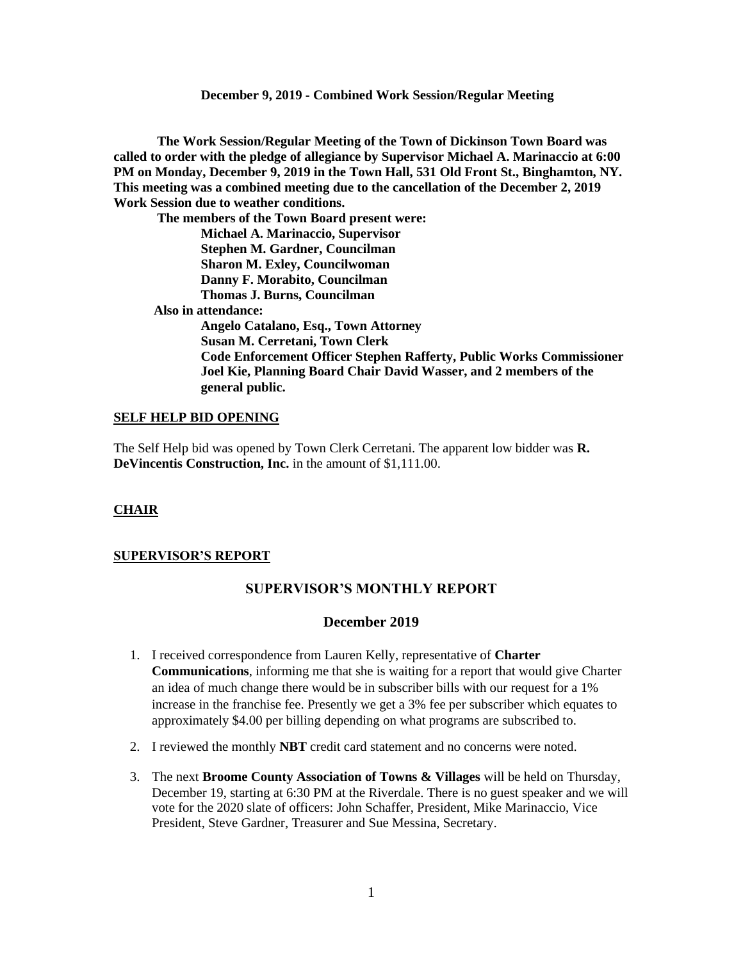**The Work Session/Regular Meeting of the Town of Dickinson Town Board was called to order with the pledge of allegiance by Supervisor Michael A. Marinaccio at 6:00 PM on Monday, December 9, 2019 in the Town Hall, 531 Old Front St., Binghamton, NY. This meeting was a combined meeting due to the cancellation of the December 2, 2019 Work Session due to weather conditions.**

**The members of the Town Board present were: Michael A. Marinaccio, Supervisor Stephen M. Gardner, Councilman Sharon M. Exley, Councilwoman Danny F. Morabito, Councilman Thomas J. Burns, Councilman Also in attendance: Angelo Catalano, Esq., Town Attorney Susan M. Cerretani, Town Clerk Code Enforcement Officer Stephen Rafferty, Public Works Commissioner Joel Kie, Planning Board Chair David Wasser, and 2 members of the** 

# **general public.**

#### **SELF HELP BID OPENING**

The Self Help bid was opened by Town Clerk Cerretani. The apparent low bidder was **R. DeVincentis Construction, Inc.** in the amount of \$1,111.00.

#### **CHAIR**

#### **SUPERVISOR'S REPORT**

# **SUPERVISOR'S MONTHLY REPORT**

#### **December 2019**

- 1. I received correspondence from Lauren Kelly, representative of **Charter Communications**, informing me that she is waiting for a report that would give Charter an idea of much change there would be in subscriber bills with our request for a 1% increase in the franchise fee. Presently we get a 3% fee per subscriber which equates to approximately \$4.00 per billing depending on what programs are subscribed to.
- 2. I reviewed the monthly **NBT** credit card statement and no concerns were noted.
- 3. The next **Broome County Association of Towns & Villages** will be held on Thursday, December 19, starting at 6:30 PM at the Riverdale. There is no guest speaker and we will vote for the 2020 slate of officers: John Schaffer, President, Mike Marinaccio, Vice President, Steve Gardner, Treasurer and Sue Messina, Secretary.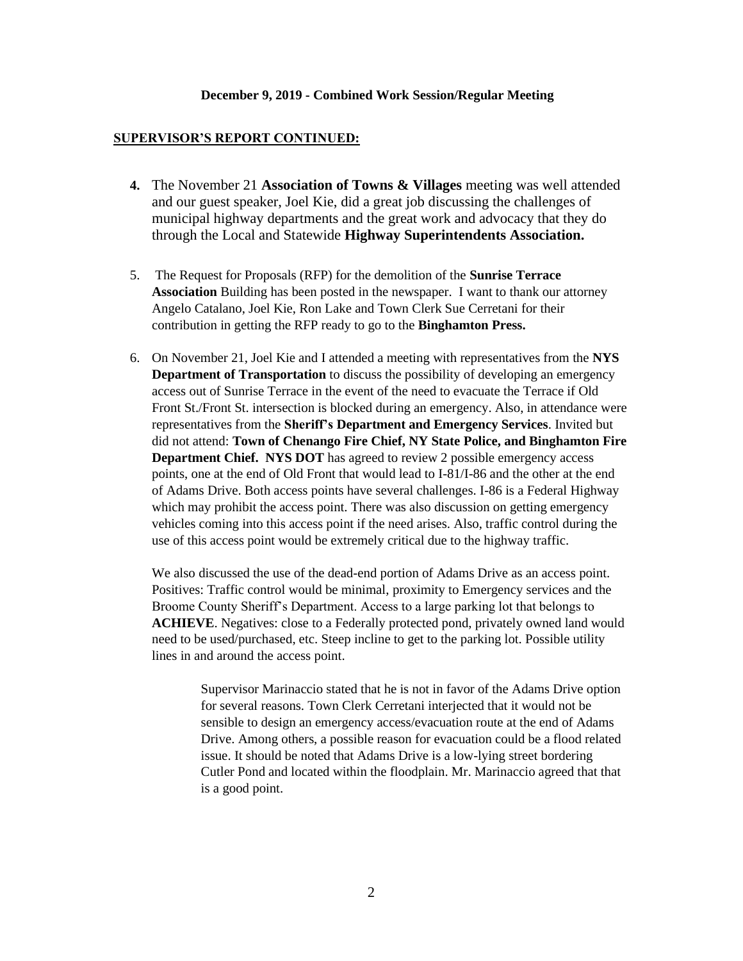#### **SUPERVISOR'S REPORT CONTINUED:**

- **4.** The November 21 **Association of Towns & Villages** meeting was well attended and our guest speaker, Joel Kie, did a great job discussing the challenges of municipal highway departments and the great work and advocacy that they do through the Local and Statewide **Highway Superintendents Association.**
- 5. The Request for Proposals (RFP) for the demolition of the **Sunrise Terrace Association** Building has been posted in the newspaper. I want to thank our attorney Angelo Catalano, Joel Kie, Ron Lake and Town Clerk Sue Cerretani for their contribution in getting the RFP ready to go to the **Binghamton Press.**
- 6. On November 21, Joel Kie and I attended a meeting with representatives from the **NYS Department of Transportation** to discuss the possibility of developing an emergency access out of Sunrise Terrace in the event of the need to evacuate the Terrace if Old Front St./Front St. intersection is blocked during an emergency. Also, in attendance were representatives from the **Sheriff's Department and Emergency Services**. Invited but did not attend: **Town of Chenango Fire Chief, NY State Police, and Binghamton Fire Department Chief. NYS DOT** has agreed to review 2 possible emergency access points, one at the end of Old Front that would lead to I-81/I-86 and the other at the end of Adams Drive. Both access points have several challenges. I-86 is a Federal Highway which may prohibit the access point. There was also discussion on getting emergency vehicles coming into this access point if the need arises. Also, traffic control during the use of this access point would be extremely critical due to the highway traffic.

We also discussed the use of the dead-end portion of Adams Drive as an access point. Positives: Traffic control would be minimal, proximity to Emergency services and the Broome County Sheriff's Department. Access to a large parking lot that belongs to **ACHIEVE**. Negatives: close to a Federally protected pond, privately owned land would need to be used/purchased, etc. Steep incline to get to the parking lot. Possible utility lines in and around the access point.

> Supervisor Marinaccio stated that he is not in favor of the Adams Drive option for several reasons. Town Clerk Cerretani interjected that it would not be sensible to design an emergency access/evacuation route at the end of Adams Drive. Among others, a possible reason for evacuation could be a flood related issue. It should be noted that Adams Drive is a low-lying street bordering Cutler Pond and located within the floodplain. Mr. Marinaccio agreed that that is a good point.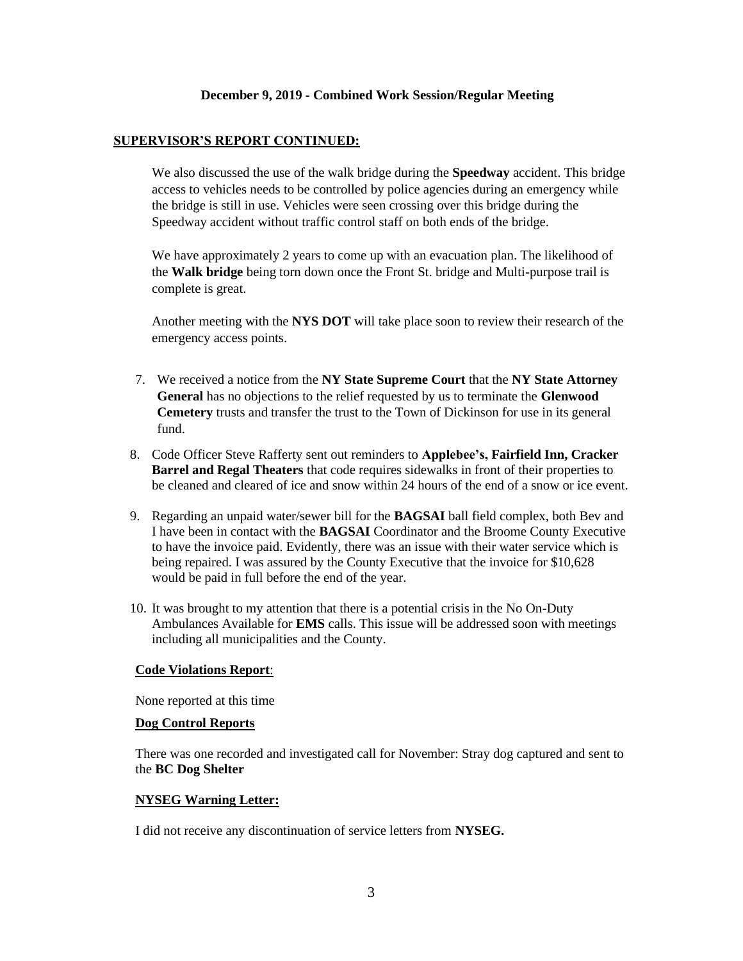# **SUPERVISOR'S REPORT CONTINUED:**

We also discussed the use of the walk bridge during the **Speedway** accident. This bridge access to vehicles needs to be controlled by police agencies during an emergency while the bridge is still in use. Vehicles were seen crossing over this bridge during the Speedway accident without traffic control staff on both ends of the bridge.

We have approximately 2 years to come up with an evacuation plan. The likelihood of the **Walk bridge** being torn down once the Front St. bridge and Multi-purpose trail is complete is great.

Another meeting with the **NYS DOT** will take place soon to review their research of the emergency access points.

- 7. We received a notice from the **NY State Supreme Court** that the **NY State Attorney General** has no objections to the relief requested by us to terminate the **Glenwood Cemetery** trusts and transfer the trust to the Town of Dickinson for use in its general fund.
- 8. Code Officer Steve Rafferty sent out reminders to **Applebee's, Fairfield Inn, Cracker Barrel and Regal Theaters** that code requires sidewalks in front of their properties to be cleaned and cleared of ice and snow within 24 hours of the end of a snow or ice event.
- 9. Regarding an unpaid water/sewer bill for the **BAGSAI** ball field complex, both Bev and I have been in contact with the **BAGSAI** Coordinator and the Broome County Executive to have the invoice paid. Evidently, there was an issue with their water service which is being repaired. I was assured by the County Executive that the invoice for \$10,628 would be paid in full before the end of the year.
- 10. It was brought to my attention that there is a potential crisis in the No On-Duty Ambulances Available for **EMS** calls. This issue will be addressed soon with meetings including all municipalities and the County.

#### **Code Violations Report**:

None reported at this time

#### **Dog Control Reports**

There was one recorded and investigated call for November: Stray dog captured and sent to the **BC Dog Shelter**

#### **NYSEG Warning Letter:**

I did not receive any discontinuation of service letters from **NYSEG.**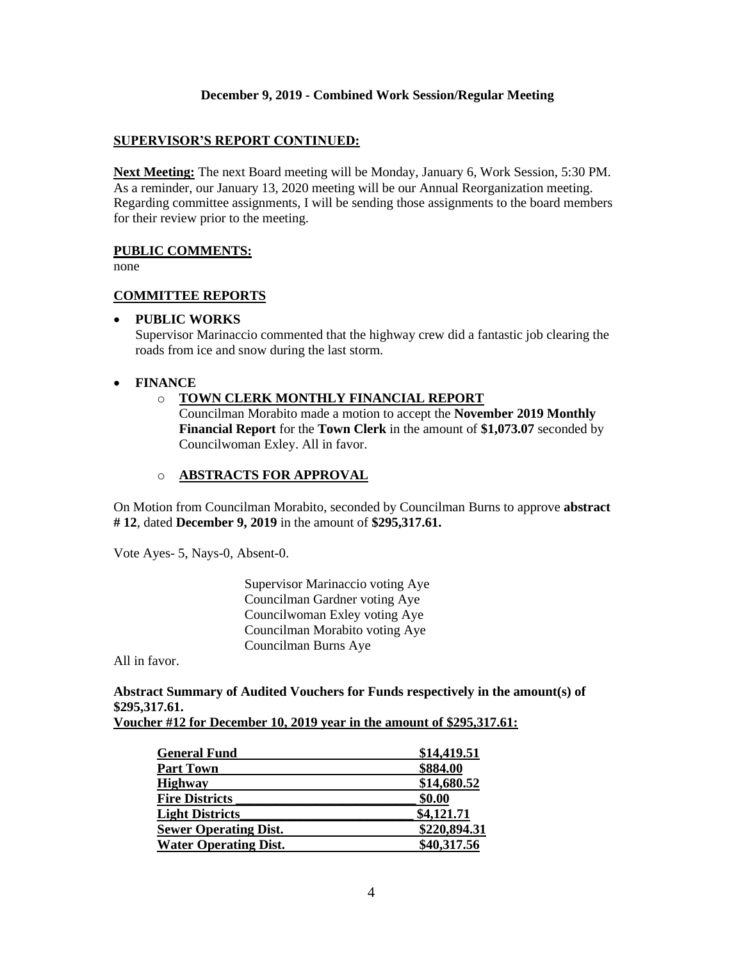# **SUPERVISOR'S REPORT CONTINUED:**

**Next Meeting:** The next Board meeting will be Monday, January 6, Work Session, 5:30 PM. As a reminder, our January 13, 2020 meeting will be our Annual Reorganization meeting. Regarding committee assignments, I will be sending those assignments to the board members for their review prior to the meeting.

# **PUBLIC COMMENTS:**

none

# **COMMITTEE REPORTS**

# • **PUBLIC WORKS**

Supervisor Marinaccio commented that the highway crew did a fantastic job clearing the roads from ice and snow during the last storm.

# • **FINANCE**

# o **TOWN CLERK MONTHLY FINANCIAL REPORT**

Councilman Morabito made a motion to accept the **November 2019 Monthly Financial Report** for the **Town Clerk** in the amount of **\$1,073.07** seconded by Councilwoman Exley. All in favor.

# o **ABSTRACTS FOR APPROVAL**

On Motion from Councilman Morabito, seconded by Councilman Burns to approve **abstract # 12**, dated **December 9, 2019** in the amount of **\$295,317.61.**

Vote Ayes- 5, Nays-0, Absent-0.

Supervisor Marinaccio voting Aye Councilman Gardner voting Aye Councilwoman Exley voting Aye Councilman Morabito voting Aye Councilman Burns Aye

All in favor.

# **Abstract Summary of Audited Vouchers for Funds respectively in the amount(s) of \$295,317.61.**

| Voucher #12 for December 10, 2019 year in the amount of \$295,317.61: |
|-----------------------------------------------------------------------|
|-----------------------------------------------------------------------|

| <b>General Fund</b>          | \$14,419.51  |
|------------------------------|--------------|
| <b>Part Town</b>             | \$884.00     |
| <b>Highway</b>               | \$14,680.52  |
| <b>Fire Districts</b>        | \$0.00       |
| <b>Light Districts</b>       | \$4,121.71   |
| <b>Sewer Operating Dist.</b> | \$220,894.31 |
| <b>Water Operating Dist.</b> | \$40,317.56  |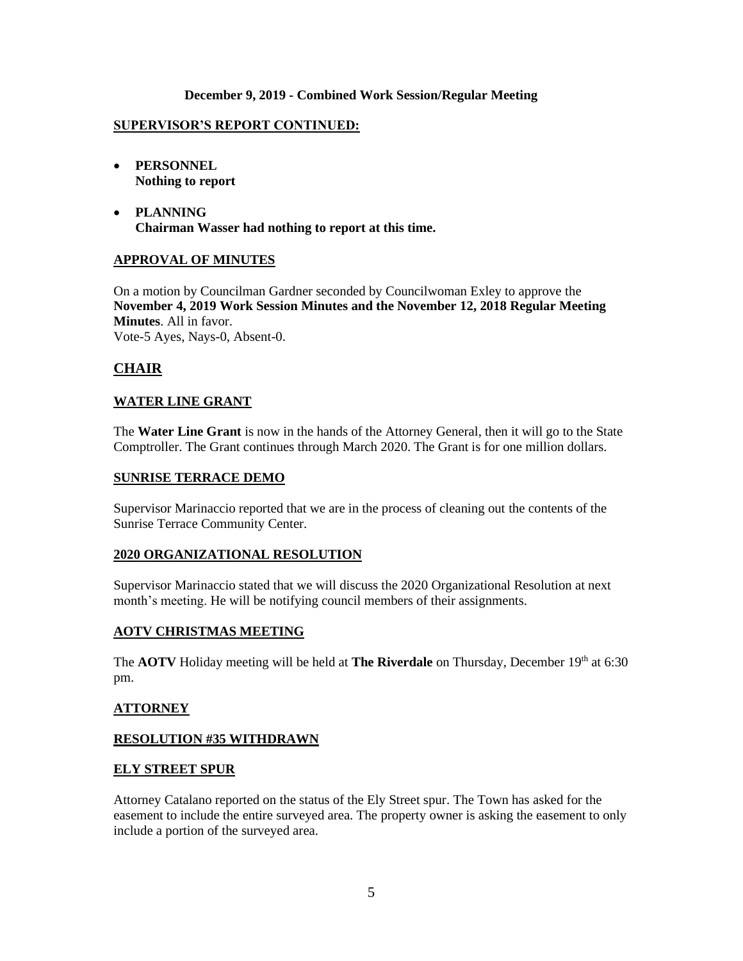# **SUPERVISOR'S REPORT CONTINUED:**

- **PERSONNEL Nothing to report**
- **PLANNING Chairman Wasser had nothing to report at this time.**

# **APPROVAL OF MINUTES**

On a motion by Councilman Gardner seconded by Councilwoman Exley to approve the **November 4, 2019 Work Session Minutes and the November 12, 2018 Regular Meeting Minutes**. All in favor. Vote-5 Ayes, Nays-0, Absent-0.

# **CHAIR**

# **WATER LINE GRANT**

The **Water Line Grant** is now in the hands of the Attorney General, then it will go to the State Comptroller. The Grant continues through March 2020. The Grant is for one million dollars.

#### **SUNRISE TERRACE DEMO**

Supervisor Marinaccio reported that we are in the process of cleaning out the contents of the Sunrise Terrace Community Center.

#### **2020 ORGANIZATIONAL RESOLUTION**

Supervisor Marinaccio stated that we will discuss the 2020 Organizational Resolution at next month's meeting. He will be notifying council members of their assignments.

#### **AOTV CHRISTMAS MEETING**

The **AOTV** Holiday meeting will be held at **The Riverdale** on Thursday, December 19th at 6:30 pm.

#### **ATTORNEY**

# **RESOLUTION #35 WITHDRAWN**

#### **ELY STREET SPUR**

Attorney Catalano reported on the status of the Ely Street spur. The Town has asked for the easement to include the entire surveyed area. The property owner is asking the easement to only include a portion of the surveyed area.